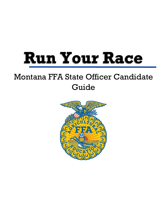# **Run Your Race**

## Montana FFA State Officer Candidate Guide

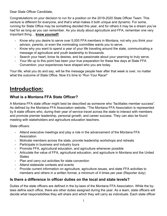Dear State Officer Candidate,

Congratulations on your decision to run for a position on the 2019-2020 State Officer Team. This venture is different for everyone, and that's what makes it both unique and dynamic. For some, running for State Office may be something decided this year, and for others it may be a dream you've had for as long as you can remember. As you study about agriculture and FFA, remember one very important thing… **know yourself!**

- Know why you desire to serve over 5,000 FFA members in Montana, not why you think your advisor, parents, or even the nominating committee wants you to serve.
- Know why you want to spend a year of your life traveling around the state, communicating a message of agriculture and youth leadership to thousands.
- Search your heart, know its desires, and be passionate about your yearning to truly serve.
- Your life up to this point has been your true preparation for these few days at State FFA Convention: your experiences have shaped who you are today.

Your life, what you do and say, will be the message people hear after that week is over, no matter what the outcome of State Office. Now it's time to "Run Your Race!"

## **Introduction:**

#### **What is a Montana FFA State Officer?**

A Montana FFA state officer might best be described as someone who "facilitates member success". As defined by the Montana FFA Association website, "The Montana FFA Association is represented by 8 state officers who, during their year of service travel across the state to interact with members and promote premier leadership, personal growth, and career success. They can also be found meeting with stakeholders and agriculture education teachers.

State officers:

- Attend executive meetings and play a role in the advancement of the Montana FFA Association
- Motivate members across the state, provide leadership workshops and retreats
- Participate in business and industry tours
- Promote FFA, agricultural education, and agriculture whenever possible
- Articulate the value of FFA, agricultural education, and agriculture in Montana and the United **States**
- Plan and carry out activities for state convention
- Attend statewide contests and events
- Provide current information on agriculture, agriculture issues, and state FFA activities to members and others in a written format, a minimum of 4 times per year (Reporter duty).

#### **Is there a difference in officer duties on the local and state levels?**

Duties of the state officers are defined in the by-laws of the Montana FFA Association. While the bylaws define each office, there are other duties assigned during the year. As a team, state officers will decide what responsibilities they will share and which they will carry as individuals. Each state officer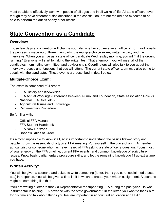must be able to effectively work with people of all ages and in all walks of life. All state officers, even though they have different duties described in the constitution, are not ranked and expected to be able to perform the duties of any other officer.

## **State Convention as a Candidate**

#### **Overview:**

Those few days at convention will change your life, whether you receive an office or not. Traditionally, the process is made up of three main parts: the multiple-choice exam, written activity and the interviews. When you arrive as a state officer candidate Wednesday morning, you will "hit the ground running." Everyone will start by taking the written test. That afternoon, you will meet all of the candidates, nominating committee, and advisor chair. Coordinators will also talk to you about the interview process and functions that you will attend. The current state officer team may also come to speak with the candidates. These events are described in detail below.

#### **Multiple-Choice Exam:**

The exam is comprised of 4 areas:

- FFA History and Knowledge
- FFA Actual Workings (Difference between Alumni and Foundation, State Association Role vs. National FFA Role, etc.)
- Agricultural Issues and Knowledge
- Parliamentary Procedure

Be familiar with:

- Official FFA Manual
- FFA Student Handbook
- FFA New Horizons
- Robert's Rules of Order

It's almost impossible to know it all, so it's important to understand the basics first—history and people. Know the essentials of a typical FFA meeting. Put yourself in the place of an FFA member, agriculturist, or someone who has never heard of FFA asking a state officer a question. Focus most of your energy on the FFA timeline, current FFA events, and common knowledge of agriculture issues. Know basic parliamentary procedure skills, and let the remaining knowledge fill up extra time you have.

#### **Written Activity:**

You will be given a scenario and asked to write something (letter, thank you card, social media post, etc.) in response. You will be given a time limit in which to create your written assignment. A scenario might be something like this:

"You are writing a letter to thank a Representative for supporting FFA during the past year. He was instrumental in helping FFA advance with the state government." In the letter, you want to thank him for his time and talk about things you feel are important in agricultural education and FFA."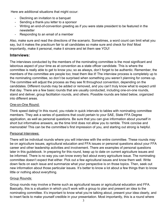Here are additional situations that might occur:

- Declining an invitation to a banquet
- Sending a thank-you letter to a sponsor
- Writing an end-of-convention greeting as if you were state president to be featured in the newsletter
- Responding to an email of a member

Also, make sure and read the directions of the scenario. Sometimes, a word count can limit what you say, but it makes the practicum fair to all candidates so make sure and check for this! Most importantly, make it personal, make it sincere and let them see YOU!

#### **Interviews:**

The interviews conducted by the members of the nominating committee is the most significant and laborious aspect of your time as at convention as a state officer candidate. This is where the committee is really able to get to know you; so as always, don't forget to be authentic. Remember, the members of the committee are people too; treat them like it! The interview process is completely up to the nominating committee, so don't be surprised when something you weren't planning for comes up. The committee will adjust the process as they see fit throughout convention, depending on the candidates. Different rounds may be added or removed, and you can't truly know what to expect until that day. There are a few basic rounds that are usually conducted, including one-on-one rounds, stand and deliver, group facilitation rounds, and others. Possible rounds are listed below, organized into different areas.

#### One-on-One Round:

Think speed dating! In this round, you rotate in quick intervals to tables with nominating committee members. They ask a series of questions that could pertain to your SAE, State FFA Degree application, as well as personal questions. Be sure that you can give information about yourself in short but informative answers, as the time limit does not allow you to ramble. Think concise and memorable! This can be the committee's first impression of you, and starting out strong is helpful.

#### Personal Interviews:

There will be individual rounds where you will interview with the entire committee. These rounds may be on agriculture issues, agricultural education and FFA issues or personal questions about your FFA career and other leadership activities and involvement. There are examples of personal questions later in this guidebook. In preparing for this round, keep up to date on current agriculture issues and be informed. There is no way you can know every fact about every agriculture issue. The nominating committee doesn't expect that either. Pick out a few agricultural issues and know them well. Write down facts on each issue and summarize what your perspective is on those topics. Then, seek out new information about those particular issues. It's better to know a lot about a few things than to know little or nothing about everything.

#### Group Rounds:

Group rounds may involve a theme such as agricultural issues or agricultural education and FFA. Basically, this is a situation in which you'll work with a group to plan and present an idea to the nominating committee. It's important to know what you're talking about, present your idea clearly, and to insert facts to make yourself credible in your presentation. Most importantly, this is a round where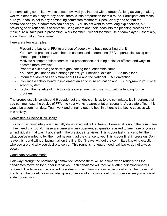the nominating committee wants to see how well you interact with a group. As long as you get along well with others on a day-to-day basis, there is little preparation for this round. Participate and make sure your back is not to any nominating committee members. Speak clearly and so that the committee and your teammates can hear you. You do not want to have long explanations, but providing short rationale is acceptable. Bring others and their ideas into the planning process and make sure all take part in presenting. Work together. Present together. Be a team player. Essentially, show them that you're a team!

Here are a few examples:

- Present the basics of FFA to a group of people who have never heard of it
- You have to present a workshop on national and international FFA opportunities using one sheet of poster board.
- Motivate a chapter officer team with a presentation including duties of officers and ways to become more involved.
- Prepare a skit having to do with goal-setting for a leadership camp.
- You have just landed on a strange planet, your mission: explain FFA to the aliens
- Inform the Montana Legislature about FFA and the National FFA Convention.
- Convince a school board to implement an agriculture education and FFA program in your local school system.
- Explain the benefits of FFA to a state government who wants to cut the funding for the program.

The groups usually consist of 4-6 people, but that decision is up to the committee. It's important that you communicate the basics of FFA into your workshop/presentation scenario. As a state officer, this would be a common duty. Teamwork and bringing out the best in others is the key to success with this activity.

#### Committee's Choice (Call Back):

This round is completely open, usually done on an individual basis. However, it is up to the committee if they need this round. These are generally very open-ended questions asked to see more of you as an individual if that wasn't apparent in the previous interviews. This is your last chance to tell them what you've wanted to tell them but haven't had the chance to yet. This is your final impression. Don't leave this round without laying it all on the line. Don't leave without the committee knowing exactly who you are and why you desire to serve. This round is not guaranteed, call backs do not always occur.

#### Candidate Advancement:

Half-way through the nominating committee process there will be a time when roughly half the candidates move on for further interviews. Each candidate will receive a letter indicating who will proceed. The letter can be opened individually or with family and/or advisors who can be present at that time. The coordinators will also give you more information about this process when you arrive at state convention.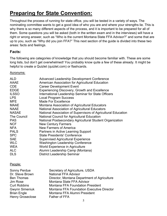## **Preparing for State Convention:**

Throughout the process of running for state office, you will be tested in a variety of ways. The nominating committee wants to get a good idea of who you are and where your strengths lie. This is why there is so many different aspects of the process, and it is important to be prepared for all of them. Some questions you will be asked (both in the written exam and in the interviews) will have a right or wrong answer, such as "Who is the current Montana State FFA Advisor?" and some that are up to you, such as "Why did you join FFA?" This next section of the guide is divided into these two areas: facts and feelings.

#### **Facts:**

The following are categories of knowledge that you should become familiar with. These are some long lists, but don't get overwhelmed! You probably know quite a few of these already. It might be helpful to create a Quizlet (quizlet.com) or flashcards.

#### Acronyms:

| <b>ALD</b>         | <b>Advanced Leadership Development Conference</b>             |
|--------------------|---------------------------------------------------------------|
| AAAE               | American Association for Agricultural Education               |
| <b>CDE</b>         | <b>Career Development Event</b>                               |
| <b>EDGE</b>        | Experiencing Discovery, Growth and Excellence                 |
| <b>ILSSO</b>       | International Leadership Seminar for State Officers           |
| <b>LPS</b>         | <b>Local Program Success</b>                                  |
| <b>MFE</b>         | <b>Made For Excellence</b>                                    |
| <b>MAAE</b>        | Montana Association of Agricultural Educators                 |
| <b>NAAE</b>        | National Association of Agricultural Educators                |
| <b>NASAE</b>       | National Association of Supervisors of Agricultural Education |
| <b>The Council</b> | National Council for Agricultural Education                   |
| <b>PAS</b>         | National Postsecondary Agricultural Student Organization      |
| <b>NCF</b>         | <b>New Century Farmers</b>                                    |
| <b>NFA</b>         | <b>New Farmers of America</b>                                 |
| <b>PALS</b>        | Partners in Active Learning Support                           |
| <b>SPC</b>         | <b>State Presidents' Conference</b>                           |
| <b>SAE</b>         | <b>Supervised Agricultural Experience</b>                     |
| <b>WLC</b>         | <b>Washington Leadership Conference</b>                       |
| <b>WEA</b>         | World Experience in Agriculture                               |
| <b>ALC</b>         | Alumni Leadership Camp (Montana)                              |
| <b>DLS</b>         | <b>District Leadership Seminar</b>                            |

#### People:

| Sonny Perdue            | Secretary of Agriculture, USDA                   |
|-------------------------|--------------------------------------------------|
| Dr. Steve Brown         | <b>National FFA Advisor</b>                      |
| <b>Ben Thomas</b>       | Director, Montana Department of Agriculture      |
| Jim Rose                | Montana State FFA Advisor                        |
| <b>Curt Robbins</b>     | <b>Montana FFA Foundation President</b>          |
| <b>Gwynn Simeniuk</b>   | <b>Montana FFA Foundation Executive Director</b> |
| <b>Brian Engle</b>      | Montana FFA Alumni President                     |
| <b>Henry Groseclose</b> | Father of FFA                                    |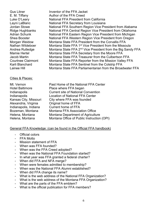Gus Litner **Inventor of the FFA Jacket** E. M. Tiffany Author of the FFA Creed Luke O'Leary National FFA President from California Layni LaBlanc National FFA Secretary from Louisiana Jordan Stowe National FFA Southern Region Vice President from Alabama Ridge Hughbanks National FFA Central Region Vice President from Oklahoma Adrian Schunk National FFA Eastern Region Vice President from Michigan Shea Booster **National FFA Western Region Vice President from Oregon** Morgan Weidow Montana State FFA President from the Corvallis FFA Nathan Wildeboer Montana State FFA 1<sup>st</sup> Vice President from the Missoula Andrea Rutledge Montana State FFA  $2<sup>nd</sup>$  Vice President from the Big Sandy FFA Mamie Hertel Montana State FFA Secretary from the Moore FFA Jacob Martin Montana State FFA Treasurer from the Culbertson FFA Courtnee Clairmont Montana State FFA Reporter from the Mission Valley FFA Karli Blanchard Montana State FFA Sentinel from the Colstrip FFA Lainee Hill Montana State FFA Parliamentarian from the Broadwater FFA

#### Cities & Places:

| Mt. Vernon             | Past Home of the National FFA Center       |
|------------------------|--------------------------------------------|
| <b>Hotel Baltimore</b> | Place where FFA began                      |
| Indianapolis           | <b>Current site of National Convention</b> |
| Indianapolis           | <b>Location of National FFA Center</b>     |
| Kansas City, Missouri  | City where FFA was founded                 |
| Alexandria, Virginia   | Original home of FFA                       |
| Indianapolis, Indiana  | <b>Current home of FFA</b>                 |
| Bozeman, Montana       | Montana FFA Association Office             |
| Helena, Montana        | Montana Department of Agriculture          |
| Helena, Montana        | Montana Office of Public Instruction (OPI) |

#### General FFA Knowledge: (can be found in the Official FFA handbook)

- Official colors
- **FFA Motto**
- Mission statement of FFA
- When was FFA founded?
- When was the FFA Creed adopted?
- When was the National FFA Foundation started?
- In what year was FFA granted a federal charter?
- When did FFA and NFA merge?
- When were females admitted to membership?
- When was the National FFA Alumni established?
- When did FFA change its name?
- What is the web address of the National FFA Organization?
- What is the web address of the Montana FFA Organization?
- What are the parts of the FFA emblem?
- What is the official publication for FFA members?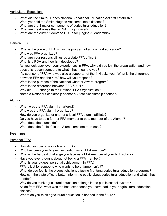#### Agricultural Education:

- What did the Smith-Hughes National Vocational Education Act first establish?
- What year did the Smith-Hughes Act come into existence?
- What are the 3 major components of agricultural education?
- What are the 4 areas that an SAE might cover?
- What are the current Montana CDE's for judging & leadership?

#### General FFA:

- What is the place of FFA within the program of agricultural education?
- Why was FFA organized?
- What are your responsibilities as a state FFA officer?
- What is a POA and how is it developed?
- As you look back over your experiences in FFA, why did you join the organization and how does this reason compare to what it has meant to you?
- If a sponsor of FFA who was also a supporter of the 4-H asks you, "What is the difference between FFA and the 4-H," how will you respond?
- What is the purpose of the National Chapter Award program?
- What is the difference between FFA & 4-H?
- Why did FFA change to the National FFA Organization?
- Name a National Scholarship sponsor? State Scholarship sponsor?

#### Alumni:

- When was the FFA alumni chartered?
- Why was the FFA alumni organized?
- How do you organize or charter a local FFA alumni affiliate?
- Do you have to be a former FFA member to be a member of the Alumni?
- What does the alumni do?
- What does the "shield" in the Alumni emblem represent?

#### **Feelings:**

#### Personal FFA:

- How did you become involved in FFA?
- Who has been your biggest inspiration as an FFA member?
- What is the hardest challenge you face as a FFA member at your high school?
- Have you ever thought about not being a FFA member?
- What is your biggest personal achievement in FFA?
- FFA is just for someone who wants to be a farmer isn't it?
- What do you feel is the biggest challenge facing Montana agricultural education programs?
- How can the state officers better inform the public about agricultural education and what it has to offer?
- Why do you think agricultural education belongs in the public school system?
- Aside from FFA, what was the best experience you have had in your agricultural education classes?
- Where do you think agricultural education is headed in the future?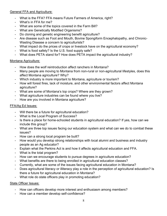#### General FFA and Agriculture:

- What is the FFA? FFA means Future Farmers of America, right?
- What's in FFA for me?
- What are some of the topics covered in the Farm Bill?
- What are Genetically Modified Organisms?
- Do cloning and genetic engineering benefit agriculture?
- Are disease such as Foot and Mouth, Bovine Spongiform Encephalopathy, and Chronic-Wasting Disease a concern to agriculturists?
- What impact do the prices of crops or livestock have on the agricultural economy?
- What is food safety? Is the U.S. food supply safe?
- What does PETA stand for? How does PETA impact the agricultural industry?

#### Montana Agriculture:

- How does the wolf reintroduction affect ranchers in Montana?
- Many people are moving to Montana from non-rural or non-agricultural lifestyles, does this affect Montana agriculture? Why?
- Which industry is more important to Montana, agriculture or tourism?
- How will forest fires, lack of moisture, and other environmental factors affect Montana agriculture?
- What are some of Montana's top crops? Where are they grown?
- What agriculture industries can be found where you live?
- How are you involved in Montana agriculture?

#### FFA/Ag Ed Issues:

- Will there be a future for agricultural education?
- What is the Local Program of Success?
- Is there a place for home-schooled students in agricultural education? If yes, how can we include this group?
- What are three top issues facing our education system and what can we do to combat these issues?
- How can a strong local program be built?
- How would you develop strong relationships with local alumni and business and industry people as an Ag educator?
- Explain what the Perkins Act is and how it affects agricultural education and FFA.
- What is the total program?
- How can we encourage students to pursue degrees in agriculture education?
- What benefits are there to being enrolled in agricultural education classes?
- Currently, what are some of the issues facing agricultural education in Montana?
- Does agricultural literacy or illiteracy play a role in the perception of agricultural education? Is there a future for agricultural education in Montana?
- What role do state officers play in promoting education?

#### State Officer Issues:

- How can officers develop more interest and enthusiasm among members?
- How can a member develop self-confidence?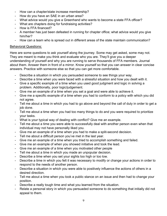- How can a chapter/state increase membership?
- How do you have an SAE in an urban area?
- What advice would you give a Greenhand who wants to become a state FFA officer?
- What are chapters doing for fundraising activities?
- How is FFA financed?
- A member has just been defeated in running for chapter office; what advice would you give him/her?
- How can a team who is spread out in different areas of the state maintain communication?

#### Behavioral Questions:

Here are some questions to ask yourself along the journey. Some may get asked, some may not. They are meant to make you think and evaluate who you are. They'll give you a deeper understanding of yourself and why you are running to serve thousands of FFA members. Journal about them. Answer them in front of a mirror. Know yourself so that you can answer in clear concise answers. Practice with someone else so that you can get more comfortable.

- Describe a situation in which you persuaded someone to see things your way.
- Describe a time when you were faced with a stressful situation and how you dealt with it.
- Give a specific example of a time when you used good judgment and logic in solving a problem. Additionally, poor logic/judgement.
- Give me an example of a time when you set a goal and were able to achieve it.
- Give me a specific example of a time when you had to conform to a policy with which you did not agree.
- Tell me about a time in which you had to go above and beyond the call of duty in order to get a job done.
- Tell me about a time when you had too many things to do and you were required to prioritize your tasks.
- What is your typical way of dealing with conflict? Give me an example.
- Tell me about a time you were able to successfully deal with another person even when that individual may not have personally liked you.
- Give me an example of a time when you had to make a split-second decision.
- Tell me about a difficult person you've met in the last year.
- Give me an example of a time when you tried to accomplish something and failed.
- Give me an example of when you showed initiative and took the lead.
- Give me an example of a time when you motivated other people
- Tell me about a time in which you made an unpopular decision.
- Describe a time when you set your sights too high or too low.
- Describe a time in which you felt it was necessary to modify or change your actions in order to respond to the needs of another person.
- Describe a situation in which you were able to positively influence the actions of others in a desired direction.
- Tell me about a time when you took a public stance on an issue and then had to change your position.
- Describe a really tough time and what you learned from the situation.
- Relate a personal story in which you persuaded someone to do something that initially did not appeal to them.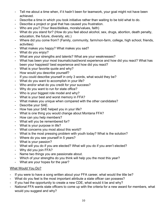- Tell me about a time when, if it hadn't been for teamwork, your goal might not have been achieved.
- Describe a time in which you took initiative rather than waiting to be told what to do.
- Describe a project or goal that has caused you frustration.
- Who are you? (Your likes/dislikes, morals/values, faith)
- What do you stand for? (How do you feel about alcohol, sex, drugs, abortion, death penalty, education, the future, diversity, etc.)
- Where did you come from? (Family, community, farm/non-farm, college, high school, friends, activities)
- What makes you happy? What makes you sad?
- What do you enjoy?
- What are your strengths and talents? What are your weaknesses?
- What has been your most traumatic/sad/worst experience and how did you react? What has been your happiest// best experience and how did you react?
- What is your favorite quote and why?
- How would you describe yourself?
- If you could describe yourself in only 3 words, what would they be?
- What do you want to accomplish in your life?
- Who and/or what do you credit for your success?
- Why do you want to run for state office?
- Who is your biggest role model and why?
- What is your best and worst memory in FFA?
- What makes you unique when compared with the other candidates?
- Describe your SAE.
- How has your SAE helped you in your life?
- What is one thing you would change about Montana FFA?
- How can you help members?
- What will you be remembered for?
- What is your purpose in life?
- What concerns you most about this world?
- What is the most pressing problem with youth today? What is the solution?
- Where do you see yourself in 5 years?
- What is your passion?
- What will you do if you are elected? What will you do if you aren't elected?
- Why did you join FFA?
- Name two things you are passionate about.
- Which of your strengths do you think will help you the most this year?
- What are your hopes for the year?

#### What Would You Do?

- If you were to have a song written about your FFA career, what would the title be?
- What do you feel is the most important attribute a state officer can possess?
- If you had the opportunity to create a new CDE, what would it be and why?
- National FFA wants state officers to come up with the criteria for a new award for members, what would you suggest and why?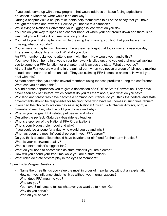- If you could come up with a new program that would address an issue facing agricultural education in Montana, what would it be and why?
- During a chapter visit, a couple of students help themselves to all of the candy that you have brought for prizes and rewards. How do you handle this situation?
- While flying to National Convention your luggage is lost, what do you do?
- You are on your way to speak at a chapter banquet when your car breaks down and there is no way that you will make it on time, what do you do?
- You get to your first chapter visit, while dressing that morning you find that your tie/scarf is missing, what do you do?
- You arrive at a chapter visit, however the ag teacher forgot that today was an in-service day. There are no students at school. What do you do?
- An FFA member asks you to attend prom with them. How would you handle this?
- You haven't been home in a week, your homework is piled up, and you get a phone call asking you to come to a FFA function for a chapter that is across the state. What do you do?
- At the State Fair you are working in the animal barn when you notice a group of fair-goers making a loud scene near one of the animals. They are claiming FFA is cruel to animals. How will you deal with this?
- At state convention, you notice several members using tobacco products during the conference. What can you do about this?
- A blind person approaches you to give a description of a CDE at State Convention. They have never seen any of it before, which contest do you tell them about, and what do you say?
- Wild land and forest fires have become a common occurrence, do you think that federal and state governments should be responsible for helping those who have lost homes in such fires rebuild?
- If you had the choice to live one day as a. A) National Officer, B) A Chapter Advisor, or C) a Greenhand member, which would you choose and why?
- What is your biggest FFA related pet peeve, and why?
- Describe the perfect: -Saturday -bus ride -ag teacher
- Who is a sponsor of the National FFA Organization?
- Who is your biggest role model and why?
- If you could be anyone for a day, who would you be and why?
- Who has been the most influential person in your FFA career?
- Do you think a state officer should have boyfriend or girlfriend for their term in office?
- What is your best/worst quality?
- Who is a state officer's biggest fan?
- What do you hope to accomplish as state officer if you are elected?
- How will you spend your free time while you are a state officer?
- What roles do state officers play in the eyes of members?

#### Open Ended/Vague Questions:

- Name the three things you value the most in order of importance, without an explanation.
- How can you influence students' lives without youth organizations?
- What does FFA mean to you?
- Who are you?
- You have 3 minutes to tell us whatever you want us to know. Go!
- Why do you serve?
- Who do you serve?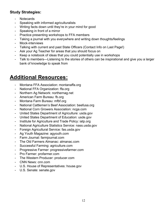#### **Study Strategies:**

- Notecards
- Speaking with informed agriculturalists
- Writing facts down until they're in your mind for good
- Speaking in front of a mirror
- Practice presenting workshops to FFA members
- Taking a journal with you everywhere and writing down thoughts/feelings
- Mock-interviews
- Talking with current and past State Officers (Contact Info on Last Page!)
- Ask your Ag Teacher for areas that you should focus on
- Keep a notebook of ideas that you could potentially use in workshops
- Talk to members—Listening to the stories of others can be inspirational and give you a larger bank of knowledge to speak from

## **Additional Resources:**

- Montana FFA Association: montanaffa.org
- National FFA Organization: ffa.org
- Northern Ag Network: northernag.net
- American Farm Bureau: fb.org
- Montana Farm Bureau: mfbf.org
- National Cattlemen's Beef Association: beefusa.org
- National Corn Growers Association: ncga.com
- United States Department of Agriculture: usda.gov
- United States Department of Education: usde.gov
- Institute for Agriculture and Trade Policy: iatp.org
- National Agriculture Statistics Service: nass.usda.gov
- Foreign Agricultural Service: fas.usda.gov
- Ag Youth Magazine: agyouth.com
- Farm Journal: farmjournal.com
- The Old Farmers Almanac: almanac.com
- Successful Farming: agriculture.com
- Progressive Farmer: progressivefarmer.com
- Pro Farmer: profarmer.com
- The Western Producer: producer.com
- CNN News: cnn.com
- U.S. House of Representatives: house.gov
- U.S. Senate: senate.gov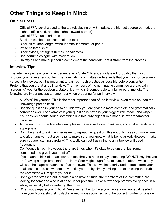## **Other Things to Keep in Mind:**

#### **Official Dress:**

- Official FFA jacket zipped to the top (displaying only 3 medals: the highest degree earned, the highest office held, and the highest award earned)
- Official FFA blue scarf or tie
- Black dress shoes (closed heel and toe)
- Black skirt (knee length, without embellishments) or pants
- White collared shirt
- Black nylons, not tights (female candidates)
- Use perfume/cologne with moderation
- Hairstyles and makeup should complement the candidate, not distract from the process

#### **Interview Tips:**

The interview process you will experience as a State Officer Candidate will probably the most rigorous you will ever encounter. The nominating committee understands that you may not be a wellversed interviewee, but it is important to gain as much practice as possible before convention. Pretend that you are at a job interview. The members of the nominating committee are basically "screening" you for the position a state officer which IS comparable to a full or part time job. The following are important tips to remember when preparing for an interview:

- ALWAYS be yourself! This is the most important part of the interview, even more so than the knowledge portion itself.
- Use the question in your answer. This way you are giving a more complete and grammatically correct answer. For example: If your question is "Who is your biggest role model and why?" Your answer should sound something like this: "My biggest role model is my grandmother, because…
- At the end of your entire interview, please make sure to say thank you, and shake hands when appropriate.
- Don't be afraid to ask the interviewer to repeat the question, this not only gives you more time to craft an answer, but also helps to make sure you know what is being asked. However, make sure you are listening carefully! This tactic can get frustrating to an interviewer if used frequently.
- Confidence is key! However, there are times when it's okay to be unsure, just remain composed and give it your best effort!
- If you cannot think of an answer and feel that you need to say something DO NOT say that you are "having a huge brain fart" –the Nom Com might laugh for a minute, but after a while they will see the inappropriateness of your answer. This shows immaturity and detracts from your qualities. Instead, show them how tactful you are by simply smiling and expressing the truththe committee will respect you for it.
- Don't get too stressed out. Maintain a positive attitude; the members of the committee are looking for someone who is at ease under pressure. Take a few deep breaths every once in a while, especially before entering the room.
- When you prepare your Official Dress, remember to have your jacket dry-cleaned if needed, have your blouse/shirt, skirt/slacks ironed, shoes polished, and the correct number of pins on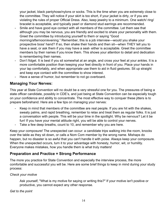your jacket, black pantyhose/nylons or socks. This is the time when you are extremely close to the committee. They will notice if your skirt is too short, if your jacket is dirty, or if you are violating the rules of proper Official Dress. Also, keep jewelry to a minimum. One watch/ ring/ bracelet is acceptable, and typically pearl or diamond stud earrings are recommended.

- Smile and have good eye contact with all members of the committee. Let them see that although you may be nervous, you are friendly and excited to share your personality with them. Greet the committee by introducing yourself to them or saying "Good morning/afternoon/evening." Remember, this is a job interview—would you shake your prospective boss' hand? If so, then shake their hands and then sit—when THEY tell you to have a seat, or ask them if you may have a seat- either is acceptable. Greet the committee members by their names if you know them. This shows your attention to detail and dedication to remembering their names.
- Don't fidget. It is best if you sit somewhat at an angle, and cross your feet at your ankles. It is a more comfortable position than keeping your feet directly in front of you. Place your hands in your lap comfortably, and when appropriate use them to aid in fluid gestures. Sit up straight and keep eye contact with the committee to show interest.
- Have a sense of humor, but remember to not go overboard.

#### **Managing Your Nerves:**

This year at State Convention will no doubt be a very stressful one for you. The pressures of being a state officer candidate, possibly in CDE's, and just being at State Convention can be especially tough on your confidence and ability to concentrate. The most effective way to conquer these jitters is to prepare beforehand. Here are a few tips on managing your nerves:

- Keep in mind that members of the committee are real people. If you are hit with the shakes, sweaty palms, and rapid breathing, remember to relax and treat them as regular folks. It is just a conversation with people. This will be your time in the spotlight. Why be nervous? Let it be fun! If you have your mental attitude right, you will be able to control your nerves.
- Take a few deep breaths, count to 10, and remember why you are here.

Keep your composure! The unexpected can occur: a candidate trips walking into the room, knocks over the table as they sit down, or calls a Nom Com member by the wrong name. Mishaps do happen, but no disaster is so awful that you can't handle it with poise. Always keep your composure. When the unexpected occurs, turn it to your advantage with honesty, humor, wit, or humility. Everyone makes mistakes, how you handle them is what truly matters!

#### **Preparation and Practice = Strong Performance**

The more you practice for State Convention and especially the interview process, the more comfortable and successful you will be. Here are some brief things to keep in mind during your study process:

#### *Check your motive*

Ask yourself, "What is my motive for saying or writing this?" If your motive isn't positive or productive, you cannot expect any other response.

*Get to the point*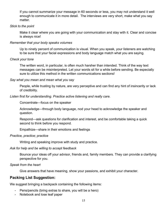If you cannot summarize your message in 60 seconds or less, you may not understand it well enough to communicate it in more detail. The interviews are very short, make what you say matter.

#### *Stick to the point*

Make it clear where you are going with your communication and stay with it. Clear and concise is always nice!

#### *Remember that your body speaks volumes*

Up to ninety percent of communication is visual. When you speak, your listeners are watching to be sure that your facial expressions and body language match what you are saying.

#### *Check your tone*

The written word, in particular, is often much harsher than intended. Think of the way text messages can be misinterpreted. Let your words sit for a while before sending. Be especially sure to utilize this method in the written communications sections!

*Say what you mean and mean what you say* 

People, while trusting by nature, are very perceptive and can find any hint of insincerity or lack of credibility.

*Listen first for understanding. Practice active listening and really care.*

Concentrate—focus on the speaker

Acknowledge—through body language, nod your head to acknowledge the speaker and question.

Respond—ask questions for clarification and interest, and be comfortable taking a quick second to think before you respond.

Empathize—share in their emotions and feelings

*Practice, practice; practice* 

Writing and speaking improve with study and practice.

*Ask for help and be willing to accept feedback*

Bounce your ideas off your advisor, friends and, family members. They can provide a clarifying perspective for you.

*Speak from the heart*

Give answers that have meaning, show your passions, and exhibit your character.

#### **Packing List Suggestion:**

We suggest bringing a backpack containing the following items:

- Pens/pencils (bring extras to share, you will be a hero)
- Notebook and lose leaf paper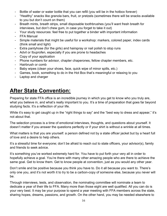- Bottle of water or water bottle that you can refill (you will be in the hotbox forever)
- "Healthy" snacks like granola bars, fruit, or pretzels (sometimes there will be snacks available to you but don't count on them)
- Breath mints, breath strips, small disposable toothbrushes (you'll want fresh breath for interviews, but don't chew gum, in case you forget to take it out)
- Your study resources: feel free to put together a binder with important information
- FFA Manual
- Simple materials that might be useful for a workshop: markers, colored paper, index cards (think small and light)
- Extra pantyhose (for the girls) and hairspray or nail polish to stop runs
- Advil or Ibuprofen, especially if you are prone to headaches
- Copy of your application
- Phone numbers for advisor, chapter chaperones, fellow chapter members, etc.
- Hairbrush or comb
- Baby wipes (clean your shoes, face, quick wipe of minor spills, etc.)
- Games, book, something to do in the Hot Box that's meaningful or relaxing to you
- Laptop and charger

## **After State Convention:**

Preparing for state FFA office is an incredible journey in which you get to know who you truly are, what you believe in, and what's really important to you. It's a time of preparation that goes far beyond studying facts. It's a reflection of your life.

While it's easy to get caught up in the "right things to say" and the "best way to dress and appear," it's not about that.

The selection process is a time of emotional interviews, thoughts, and questions about yourself. It doesn't matter if you answer the questions perfectly or if your shirt is without a wrinkle at all times.

What matters is that you are yourself: a person defined not by a state officer jacket but by a heart full of love and a desire to help others.

It's a stressful time for everyone; don't be afraid to reach out to state officers, your advisor(s), family and friends to seek advice.

It's something you've worked extremely hard for. You have to put forth your very all in order to hopefully achieve a goal. You're there with many other amazing people who are there to achieve the same goal. Get to know them. Get to know people at convention, just as you would any other year.

Don't smile and be positive because you think you have to. Do it all because you want to. There's only one you, and it's not worth it to try to be a carbon-copy of someone else, because you never will be.

Through interviews, tests, and observation, the nominating committee will nominate a team to dedicate a year of their life to FFA. Many more than those eight are well qualified. All you can do is your very best. It may be your purpose to spend a year meeting with FFA members across the state, sharing hopes, dreams, passions, and growth. On the other hand, you may be needed elsewhere to